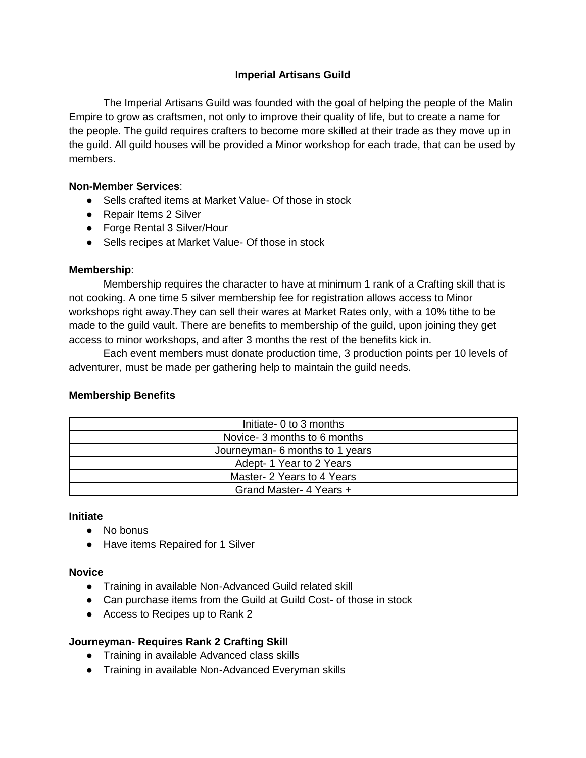### **Imperial Artisans Guild**

The Imperial Artisans Guild was founded with the goal of helping the people of the Malin Empire to grow as craftsmen, not only to improve their quality of life, but to create a name for the people. The guild requires crafters to become more skilled at their trade as they move up in the guild. All guild houses will be provided a Minor workshop for each trade, that can be used by members.

#### **Non-Member Services**:

- Sells crafted items at Market Value- Of those in stock
- Repair Items 2 Silver
- Forge Rental 3 Silver/Hour
- Sells recipes at Market Value- Of those in stock

#### **Membership**:

Membership requires the character to have at minimum 1 rank of a Crafting skill that is not cooking. A one time 5 silver membership fee for registration allows access to Minor workshops right away.They can sell their wares at Market Rates only, with a 10% tithe to be made to the guild vault. There are benefits to membership of the guild, upon joining they get access to minor workshops, and after 3 months the rest of the benefits kick in.

Each event members must donate production time, 3 production points per 10 levels of adventurer, must be made per gathering help to maintain the guild needs.

## **Membership Benefits**

| Initiate- 0 to 3 months         |
|---------------------------------|
| Novice- 3 months to 6 months    |
| Journeyman- 6 months to 1 years |
| Adept-1 Year to 2 Years         |
| Master- 2 Years to 4 Years      |
| Grand Master- 4 Years +         |

#### **Initiate**

- No bonus
- Have items Repaired for 1 Silver

#### **Novice**

- Training in available Non-Advanced Guild related skill
- Can purchase items from the Guild at Guild Cost- of those in stock
- Access to Recipes up to Rank 2

#### **Journeyman- Requires Rank 2 Crafting Skill**

- Training in available Advanced class skills
- Training in available Non-Advanced Everyman skills